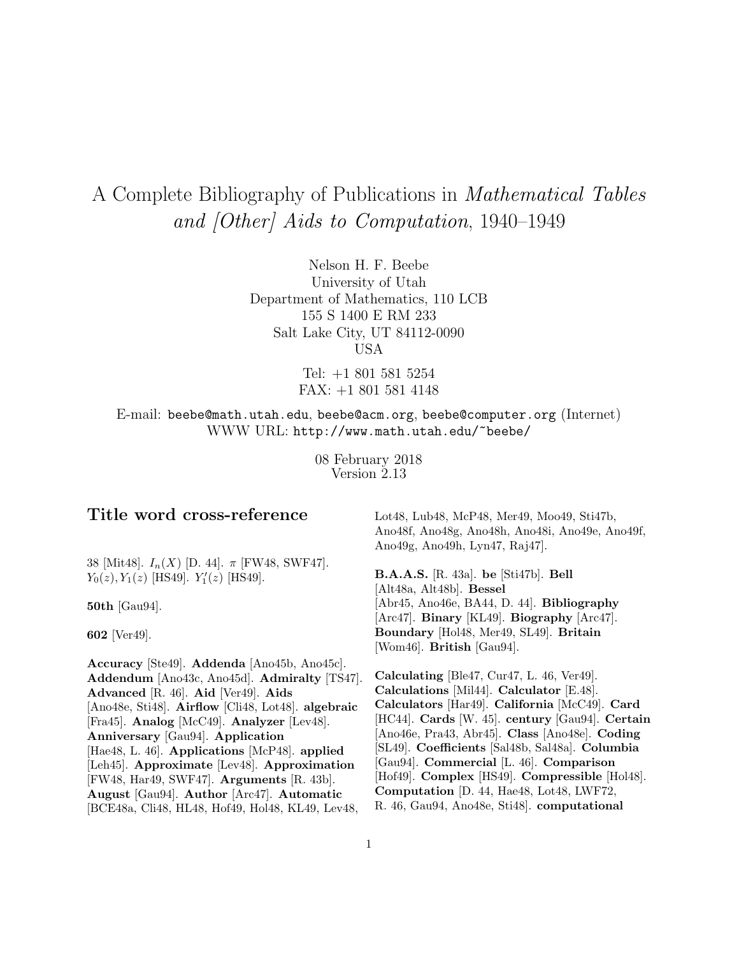# A Complete Bibliography of Publications in Mathematical Tables and [Other] Aids to Computation, 1940–1949

Nelson H. F. Beebe University of Utah Department of Mathematics, 110 LCB 155 S 1400 E RM 233 Salt Lake City, UT 84112-0090 USA

> Tel: +1 801 581 5254 FAX: +1 801 581 4148

E-mail: beebe@math.utah.edu, beebe@acm.org, beebe@computer.org (Internet) WWW URL: http://www.math.utah.edu/~beebe/

> 08 February 2018 Version 2.13

# **Title word cross-reference**

38 [Mit48].  $I_n(X)$  [D. 44].  $\pi$  [FW48, SWF47].  $Y_0(z), Y_1(z)$  [HS49].  $Y'_1(z)$  [HS49].

**50th** [Gau94].

**602** [Ver49].

**Accuracy** [Ste49]. **Addenda** [Ano45b, Ano45c]. **Addendum** [Ano43c, Ano45d]. **Admiralty** [TS47]. **Advanced** [R. 46]. **Aid** [Ver49]. **Aids** [Ano48e, Sti48]. **Airflow** [Cli48, Lot48]. **algebraic** [Fra45]. **Analog** [McC49]. **Analyzer** [Lev48]. **Anniversary** [Gau94]. **Application** [Hae48, L. 46]. **Applications** [McP48]. **applied** [Leh45]. **Approximate** [Lev48]. **Approximation** [FW48, Har49, SWF47]. **Arguments** [R. 43b]. **August** [Gau94]. **Author** [Arc47]. **Automatic** [BCE48a, Cli48, HL48, Hof49, Hol48, KL49, Lev48,

Lot48, Lub48, McP48, Mer49, Moo49, Sti47b, Ano48f, Ano48g, Ano48h, Ano48i, Ano49e, Ano49f, Ano49g, Ano49h, Lyn47, Raj47].

**B.A.A.S.** [R. 43a]. **be** [Sti47b]. **Bell** [Alt48a, Alt48b]. **Bessel** [Abr45, Ano46e, BA44, D. 44]. **Bibliography** [Arc47]. **Binary** [KL49]. **Biography** [Arc47]. **Boundary** [Hol48, Mer49, SL49]. **Britain** [Wom46]. **British** [Gau94].

**Calculating** [Ble47, Cur47, L. 46, Ver49]. **Calculations** [Mil44]. **Calculator** [E.48]. **Calculators** [Har49]. **California** [McC49]. **Card** [HC44]. **Cards** [W. 45]. **century** [Gau94]. **Certain** [Ano46e, Pra43, Abr45]. **Class** [Ano48e]. **Coding** [SL49]. **Coefficients** [Sal48b, Sal48a]. **Columbia** [Gau94]. **Commercial** [L. 46]. **Comparison** [Hof49]. **Complex** [HS49]. **Compressible** [Hol48]. **Computation** [D. 44, Hae48, Lot48, LWF72, R. 46, Gau94, Ano48e, Sti48]. **computational**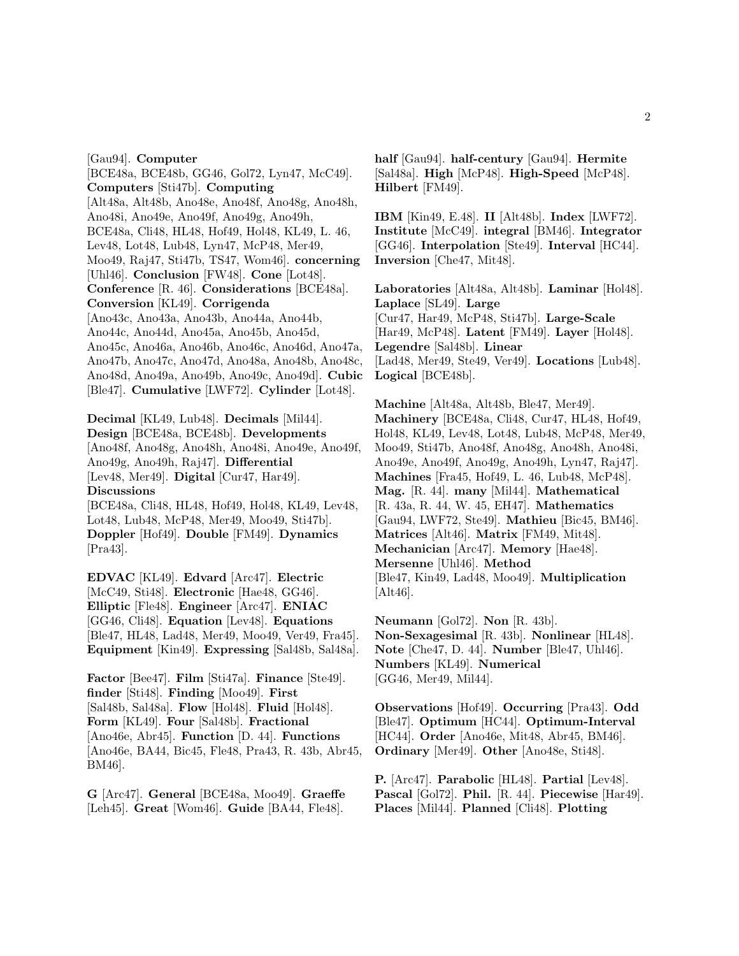[Gau94]. **Computer** [BCE48a, BCE48b, GG46, Gol72, Lyn47, McC49]. **Computers** [Sti47b]. **Computing** [Alt48a, Alt48b, Ano48e, Ano48f, Ano48g, Ano48h, Ano48i, Ano49e, Ano49f, Ano49g, Ano49h, BCE48a, Cli48, HL48, Hof49, Hol48, KL49, L. 46, Lev48, Lot48, Lub48, Lyn47, McP48, Mer49, Moo49, Raj47, Sti47b, TS47, Wom46]. **concerning** [Uhl46]. **Conclusion** [FW48]. **Cone** [Lot48]. **Conference** [R. 46]. **Considerations** [BCE48a]. **Conversion** [KL49]. **Corrigenda** [Ano43c, Ano43a, Ano43b, Ano44a, Ano44b, Ano44c, Ano44d, Ano45a, Ano45b, Ano45d, Ano45c, Ano46a, Ano46b, Ano46c, Ano46d, Ano47a, Ano47b, Ano47c, Ano47d, Ano48a, Ano48b, Ano48c, Ano48d, Ano49a, Ano49b, Ano49c, Ano49d]. **Cubic** [Ble47]. **Cumulative** [LWF72]. **Cylinder** [Lot48].

**Decimal** [KL49, Lub48]. **Decimals** [Mil44]. **Design** [BCE48a, BCE48b]. **Developments** [Ano48f, Ano48g, Ano48h, Ano48i, Ano49e, Ano49f, Ano49g, Ano49h, Raj47]. **Differential** [Lev48, Mer49]. **Digital** [Cur47, Har49]. **Discussions**

[BCE48a, Cli48, HL48, Hof49, Hol48, KL49, Lev48, Lot48, Lub48, McP48, Mer49, Moo49, Sti47b]. **Doppler** [Hof49]. **Double** [FM49]. **Dynamics** [Pra43].

**EDVAC** [KL49]. **Edvard** [Arc47]. **Electric** [McC49, Sti48]. **Electronic** [Hae48, GG46]. **Elliptic** [Fle48]. **Engineer** [Arc47]. **ENIAC** [GG46, Cli48]. **Equation** [Lev48]. **Equations** [Ble47, HL48, Lad48, Mer49, Moo49, Ver49, Fra45]. **Equipment** [Kin49]. **Expressing** [Sal48b, Sal48a].

**Factor** [Bee47]. **Film** [Sti47a]. **Finance** [Ste49]. **finder** [Sti48]. **Finding** [Moo49]. **First** [Sal48b, Sal48a]. **Flow** [Hol48]. **Fluid** [Hol48]. **Form** [KL49]. **Four** [Sal48b]. **Fractional** [Ano46e, Abr45]. **Function** [D. 44]. **Functions** [Ano46e, BA44, Bic45, Fle48, Pra43, R. 43b, Abr45, BM46].

**G** [Arc47]. **General** [BCE48a, Moo49]. **Graeffe** [Leh45]. **Great** [Wom46]. **Guide** [BA44, Fle48].

**half** [Gau94]. **half-century** [Gau94]. **Hermite** [Sal48a]. **High** [McP48]. **High-Speed** [McP48]. **Hilbert** [FM49].

**IBM** [Kin49, E.48]. **II** [Alt48b]. **Index** [LWF72]. **Institute** [McC49]. **integral** [BM46]. **Integrator** [GG46]. **Interpolation** [Ste49]. **Interval** [HC44]. **Inversion** [Che47, Mit48].

**Laboratories** [Alt48a, Alt48b]. **Laminar** [Hol48]. **Laplace** [SL49]. **Large** [Cur47, Har49, McP48, Sti47b]. **Large-Scale** [Har49, McP48]. **Latent** [FM49]. **Layer** [Hol48]. **Legendre** [Sal48b]. **Linear** [Lad48, Mer49, Ste49, Ver49]. **Locations** [Lub48]. **Logical** [BCE48b].

**Machine** [Alt48a, Alt48b, Ble47, Mer49]. **Machinery** [BCE48a, Cli48, Cur47, HL48, Hof49, Hol48, KL49, Lev48, Lot48, Lub48, McP48, Mer49, Moo49, Sti47b, Ano48f, Ano48g, Ano48h, Ano48i, Ano49e, Ano49f, Ano49g, Ano49h, Lyn47, Raj47]. **Machines** [Fra45, Hof49, L. 46, Lub48, McP48]. **Mag.** [R. 44]. **many** [Mil44]. **Mathematical** [R. 43a, R. 44, W. 45, EH47]. **Mathematics** [Gau94, LWF72, Ste49]. **Mathieu** [Bic45, BM46]. **Matrices** [Alt46]. **Matrix** [FM49, Mit48]. **Mechanician** [Arc47]. **Memory** [Hae48]. **Mersenne** [Uhl46]. **Method** [Ble47, Kin49, Lad48, Moo49]. **Multiplication** [Alt46].

**Neumann** [Gol72]. **Non** [R. 43b]. **Non-Sexagesimal** [R. 43b]. **Nonlinear** [HL48]. **Note** [Che47, D. 44]. **Number** [Ble47, Uhl46]. **Numbers** [KL49]. **Numerical** [GG46, Mer49, Mil44].

**Observations** [Hof49]. **Occurring** [Pra43]. **Odd** [Ble47]. **Optimum** [HC44]. **Optimum-Interval** [HC44]. **Order** [Ano46e, Mit48, Abr45, BM46]. **Ordinary** [Mer49]. **Other** [Ano48e, Sti48].

**P.** [Arc47]. **Parabolic** [HL48]. **Partial** [Lev48]. **Pascal** [Gol72]. **Phil.** [R. 44]. **Piecewise** [Har49]. **Places** [Mil44]. **Planned** [Cli48]. **Plotting**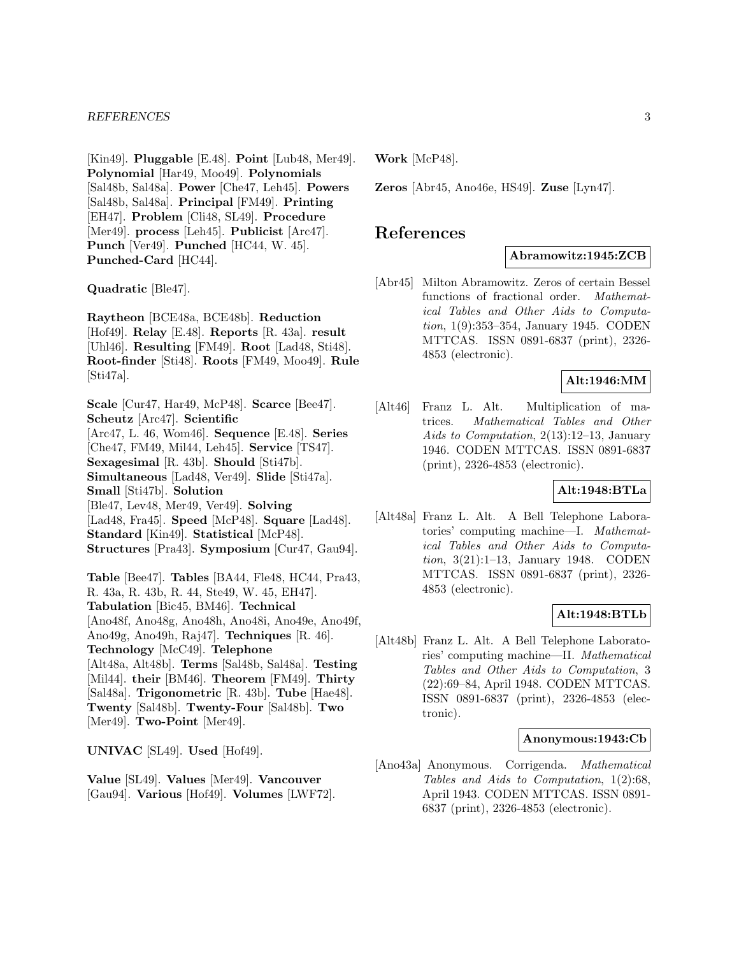[Kin49]. **Pluggable** [E.48]. **Point** [Lub48, Mer49]. **Polynomial** [Har49, Moo49]. **Polynomials** [Sal48b, Sal48a]. **Power** [Che47, Leh45]. **Powers** [Sal48b, Sal48a]. **Principal** [FM49]. **Printing** [EH47]. **Problem** [Cli48, SL49]. **Procedure** [Mer49]. **process** [Leh45]. **Publicist** [Arc47]. **Punch** [Ver49]. **Punched** [HC44, W. 45]. **Punched-Card** [HC44].

**Quadratic** [Ble47].

**Raytheon** [BCE48a, BCE48b]. **Reduction** [Hof49]. **Relay** [E.48]. **Reports** [R. 43a]. **result** [Uhl46]. **Resulting** [FM49]. **Root** [Lad48, Sti48]. **Root-finder** [Sti48]. **Roots** [FM49, Moo49]. **Rule** [Sti47a].

**Scale** [Cur47, Har49, McP48]. **Scarce** [Bee47]. **Scheutz** [Arc47]. **Scientific** [Arc47, L. 46, Wom46]. **Sequence** [E.48]. **Series** [Che47, FM49, Mil44, Leh45]. **Service** [TS47]. **Sexagesimal** [R. 43b]. **Should** [Sti47b]. **Simultaneous** [Lad48, Ver49]. **Slide** [Sti47a]. **Small** [Sti47b]. **Solution** [Ble47, Lev48, Mer49, Ver49]. **Solving** [Lad48, Fra45]. **Speed** [McP48]. **Square** [Lad48]. **Standard** [Kin49]. **Statistical** [McP48]. **Structures** [Pra43]. **Symposium** [Cur47, Gau94].

**Table** [Bee47]. **Tables** [BA44, Fle48, HC44, Pra43, R. 43a, R. 43b, R. 44, Ste49, W. 45, EH47]. **Tabulation** [Bic45, BM46]. **Technical** [Ano48f, Ano48g, Ano48h, Ano48i, Ano49e, Ano49f, Ano49g, Ano49h, Raj47]. **Techniques** [R. 46]. **Technology** [McC49]. **Telephone** [Alt48a, Alt48b]. **Terms** [Sal48b, Sal48a]. **Testing** [Mil44]. **their** [BM46]. **Theorem** [FM49]. **Thirty** [Sal48a]. **Trigonometric** [R. 43b]. **Tube** [Hae48]. **Twenty** [Sal48b]. **Twenty-Four** [Sal48b]. **Two** [Mer49]. **Two-Point** [Mer49].

**UNIVAC** [SL49]. **Used** [Hof49].

**Value** [SL49]. **Values** [Mer49]. **Vancouver** [Gau94]. **Various** [Hof49]. **Volumes** [LWF72]. **Work** [McP48].

**Zeros** [Abr45, Ano46e, HS49]. **Zuse** [Lyn47].

# **References**

### **Abramowitz:1945:ZCB**

[Abr45] Milton Abramowitz. Zeros of certain Bessel functions of fractional order. Mathematical Tables and Other Aids to Computation, 1(9):353–354, January 1945. CODEN MTTCAS. ISSN 0891-6837 (print), 2326- 4853 (electronic).

# **Alt:1946:MM**

[Alt46] Franz L. Alt. Multiplication of matrices. Mathematical Tables and Other Aids to Computation, 2(13):12–13, January 1946. CODEN MTTCAS. ISSN 0891-6837 (print), 2326-4853 (electronic).

# **Alt:1948:BTLa**

[Alt48a] Franz L. Alt. A Bell Telephone Laboratories' computing machine—I. Mathematical Tables and Other Aids to Computation, 3(21):1–13, January 1948. CODEN MTTCAS. ISSN 0891-6837 (print), 2326- 4853 (electronic).

# **Alt:1948:BTLb**

[Alt48b] Franz L. Alt. A Bell Telephone Laboratories' computing machine—II. Mathematical Tables and Other Aids to Computation, 3 (22):69–84, April 1948. CODEN MTTCAS. ISSN 0891-6837 (print), 2326-4853 (electronic).

#### **Anonymous:1943:Cb**

[Ano43a] Anonymous. Corrigenda. Mathematical Tables and Aids to Computation, 1(2):68, April 1943. CODEN MTTCAS. ISSN 0891- 6837 (print), 2326-4853 (electronic).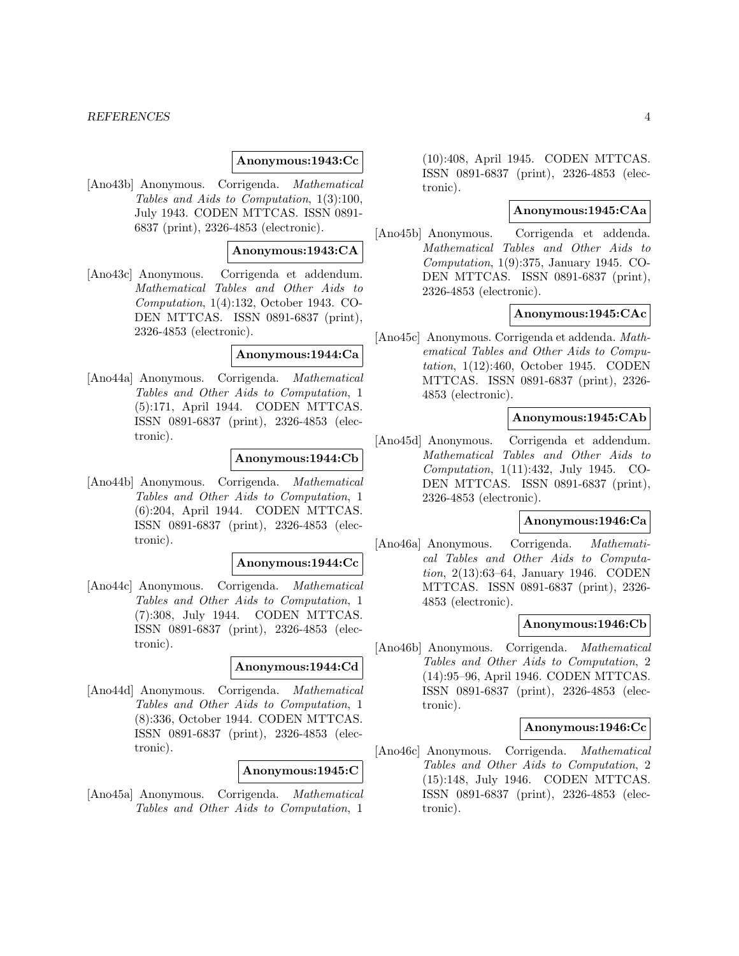#### *REFERENCES* 4

### **Anonymous:1943:Cc**

[Ano43b] Anonymous. Corrigenda. Mathematical Tables and Aids to Computation, 1(3):100, July 1943. CODEN MTTCAS. ISSN 0891- 6837 (print), 2326-4853 (electronic).

#### **Anonymous:1943:CA**

[Ano43c] Anonymous. Corrigenda et addendum. Mathematical Tables and Other Aids to Computation, 1(4):132, October 1943. CO-DEN MTTCAS. ISSN 0891-6837 (print), 2326-4853 (electronic).

#### **Anonymous:1944:Ca**

[Ano44a] Anonymous. Corrigenda. Mathematical Tables and Other Aids to Computation, 1 (5):171, April 1944. CODEN MTTCAS. ISSN 0891-6837 (print), 2326-4853 (electronic).

# **Anonymous:1944:Cb**

[Ano44b] Anonymous. Corrigenda. Mathematical Tables and Other Aids to Computation, 1 (6):204, April 1944. CODEN MTTCAS. ISSN 0891-6837 (print), 2326-4853 (electronic).

#### **Anonymous:1944:Cc**

[Ano44c] Anonymous. Corrigenda. Mathematical Tables and Other Aids to Computation, 1 (7):308, July 1944. CODEN MTTCAS. ISSN 0891-6837 (print), 2326-4853 (electronic).

# **Anonymous:1944:Cd**

[Ano44d] Anonymous. Corrigenda. Mathematical Tables and Other Aids to Computation, 1 (8):336, October 1944. CODEN MTTCAS. ISSN 0891-6837 (print), 2326-4853 (electronic).

#### **Anonymous:1945:C**

[Ano45a] Anonymous. Corrigenda. Mathematical Tables and Other Aids to Computation, 1

(10):408, April 1945. CODEN MTTCAS. ISSN 0891-6837 (print), 2326-4853 (electronic).

# **Anonymous:1945:CAa**

[Ano45b] Anonymous. Corrigenda et addenda. Mathematical Tables and Other Aids to Computation, 1(9):375, January 1945. CO-DEN MTTCAS. ISSN 0891-6837 (print), 2326-4853 (electronic).

#### **Anonymous:1945:CAc**

[Ano45c] Anonymous. Corrigenda et addenda. Mathematical Tables and Other Aids to Computation, 1(12):460, October 1945. CODEN MTTCAS. ISSN 0891-6837 (print), 2326- 4853 (electronic).

# **Anonymous:1945:CAb**

[Ano45d] Anonymous. Corrigenda et addendum. Mathematical Tables and Other Aids to Computation, 1(11):432, July 1945. CO-DEN MTTCAS. ISSN 0891-6837 (print), 2326-4853 (electronic).

# **Anonymous:1946:Ca**

[Ano46a] Anonymous. Corrigenda. Mathematical Tables and Other Aids to Computation, 2(13):63–64, January 1946. CODEN MTTCAS. ISSN 0891-6837 (print), 2326- 4853 (electronic).

### **Anonymous:1946:Cb**

[Ano46b] Anonymous. Corrigenda. Mathematical Tables and Other Aids to Computation, 2 (14):95–96, April 1946. CODEN MTTCAS. ISSN 0891-6837 (print), 2326-4853 (electronic).

#### **Anonymous:1946:Cc**

[Ano46c] Anonymous. Corrigenda. Mathematical Tables and Other Aids to Computation, 2 (15):148, July 1946. CODEN MTTCAS. ISSN 0891-6837 (print), 2326-4853 (electronic).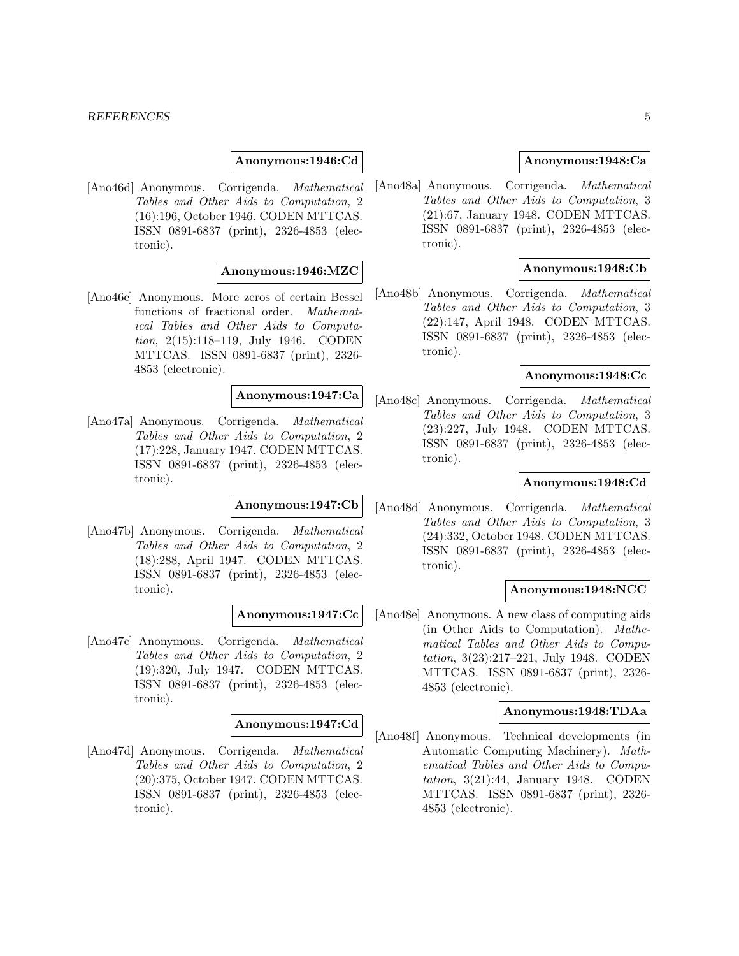#### **Anonymous:1946:Cd**

[Ano46d] Anonymous. Corrigenda. Mathematical Tables and Other Aids to Computation, 2 (16):196, October 1946. CODEN MTTCAS. ISSN 0891-6837 (print), 2326-4853 (electronic).

# **Anonymous:1946:MZC**

[Ano46e] Anonymous. More zeros of certain Bessel functions of fractional order. Mathematical Tables and Other Aids to Computation, 2(15):118–119, July 1946. CODEN MTTCAS. ISSN 0891-6837 (print), 2326- 4853 (electronic).

#### **Anonymous:1947:Ca**

[Ano47a] Anonymous. Corrigenda. Mathematical Tables and Other Aids to Computation, 2 (17):228, January 1947. CODEN MTTCAS. ISSN 0891-6837 (print), 2326-4853 (electronic).

# **Anonymous:1947:Cb**

[Ano47b] Anonymous. Corrigenda. Mathematical Tables and Other Aids to Computation, 2 (18):288, April 1947. CODEN MTTCAS. ISSN 0891-6837 (print), 2326-4853 (electronic).

#### **Anonymous:1947:Cc**

[Ano47c] Anonymous. Corrigenda. Mathematical Tables and Other Aids to Computation, 2 (19):320, July 1947. CODEN MTTCAS. ISSN 0891-6837 (print), 2326-4853 (electronic).

#### **Anonymous:1947:Cd**

[Ano47d] Anonymous. Corrigenda. Mathematical Tables and Other Aids to Computation, 2 (20):375, October 1947. CODEN MTTCAS. ISSN 0891-6837 (print), 2326-4853 (electronic).

#### **Anonymous:1948:Ca**

[Ano48a] Anonymous. Corrigenda. Mathematical Tables and Other Aids to Computation, 3 (21):67, January 1948. CODEN MTTCAS. ISSN 0891-6837 (print), 2326-4853 (electronic).

#### **Anonymous:1948:Cb**

[Ano48b] Anonymous. Corrigenda. Mathematical Tables and Other Aids to Computation, 3 (22):147, April 1948. CODEN MTTCAS. ISSN 0891-6837 (print), 2326-4853 (electronic).

### **Anonymous:1948:Cc**

[Ano48c] Anonymous. Corrigenda. Mathematical Tables and Other Aids to Computation, 3 (23):227, July 1948. CODEN MTTCAS. ISSN 0891-6837 (print), 2326-4853 (electronic).

# **Anonymous:1948:Cd**

[Ano48d] Anonymous. Corrigenda. Mathematical Tables and Other Aids to Computation, 3 (24):332, October 1948. CODEN MTTCAS. ISSN 0891-6837 (print), 2326-4853 (electronic).

#### **Anonymous:1948:NCC**

[Ano48e] Anonymous. A new class of computing aids (in Other Aids to Computation). Mathematical Tables and Other Aids to Computation, 3(23):217–221, July 1948. CODEN MTTCAS. ISSN 0891-6837 (print), 2326- 4853 (electronic).

### **Anonymous:1948:TDAa**

[Ano48f] Anonymous. Technical developments (in Automatic Computing Machinery). Mathematical Tables and Other Aids to Computation, 3(21):44, January 1948. CODEN MTTCAS. ISSN 0891-6837 (print), 2326- 4853 (electronic).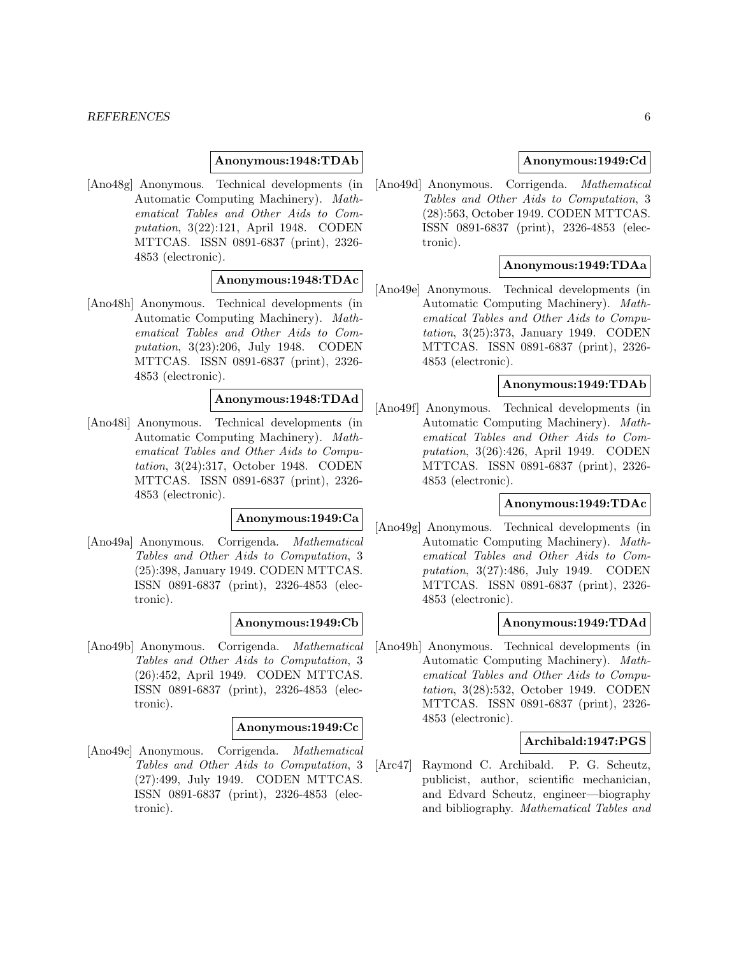#### **Anonymous:1948:TDAb**

[Ano48g] Anonymous. Technical developments (in Automatic Computing Machinery). Mathematical Tables and Other Aids to Computation, 3(22):121, April 1948. CODEN MTTCAS. ISSN 0891-6837 (print), 2326- 4853 (electronic).

# **Anonymous:1948:TDAc**

[Ano48h] Anonymous. Technical developments (in Automatic Computing Machinery). Mathematical Tables and Other Aids to Computation, 3(23):206, July 1948. CODEN MTTCAS. ISSN 0891-6837 (print), 2326- 4853 (electronic).

# **Anonymous:1948:TDAd**

[Ano48i] Anonymous. Technical developments (in Automatic Computing Machinery). Mathematical Tables and Other Aids to Computation, 3(24):317, October 1948. CODEN MTTCAS. ISSN 0891-6837 (print), 2326- 4853 (electronic).

# **Anonymous:1949:Ca**

[Ano49a] Anonymous. Corrigenda. Mathematical Tables and Other Aids to Computation, 3 (25):398, January 1949. CODEN MTTCAS. ISSN 0891-6837 (print), 2326-4853 (electronic).

#### **Anonymous:1949:Cb**

[Ano49b] Anonymous. Corrigenda. Mathematical Tables and Other Aids to Computation, 3 (26):452, April 1949. CODEN MTTCAS. ISSN 0891-6837 (print), 2326-4853 (electronic).

#### **Anonymous:1949:Cc**

[Ano49c] Anonymous. Corrigenda. Mathematical Tables and Other Aids to Computation, 3 (27):499, July 1949. CODEN MTTCAS. ISSN 0891-6837 (print), 2326-4853 (electronic).

# **Anonymous:1949:Cd**

[Ano49d] Anonymous. Corrigenda. Mathematical Tables and Other Aids to Computation, 3 (28):563, October 1949. CODEN MTTCAS. ISSN 0891-6837 (print), 2326-4853 (electronic).

# **Anonymous:1949:TDAa**

[Ano49e] Anonymous. Technical developments (in Automatic Computing Machinery). Mathematical Tables and Other Aids to Computation, 3(25):373, January 1949. CODEN MTTCAS. ISSN 0891-6837 (print), 2326- 4853 (electronic).

# **Anonymous:1949:TDAb**

[Ano49f] Anonymous. Technical developments (in Automatic Computing Machinery). Mathematical Tables and Other Aids to Computation, 3(26):426, April 1949. CODEN MTTCAS. ISSN 0891-6837 (print), 2326- 4853 (electronic).

### **Anonymous:1949:TDAc**

[Ano49g] Anonymous. Technical developments (in Automatic Computing Machinery). Mathematical Tables and Other Aids to Computation, 3(27):486, July 1949. CODEN MTTCAS. ISSN 0891-6837 (print), 2326- 4853 (electronic).

### **Anonymous:1949:TDAd**

[Ano49h] Anonymous. Technical developments (in Automatic Computing Machinery). Mathematical Tables and Other Aids to Computation, 3(28):532, October 1949. CODEN MTTCAS. ISSN 0891-6837 (print), 2326- 4853 (electronic).

# **Archibald:1947:PGS**

[Arc47] Raymond C. Archibald. P. G. Scheutz, publicist, author, scientific mechanician, and Edvard Scheutz, engineer—biography and bibliography. Mathematical Tables and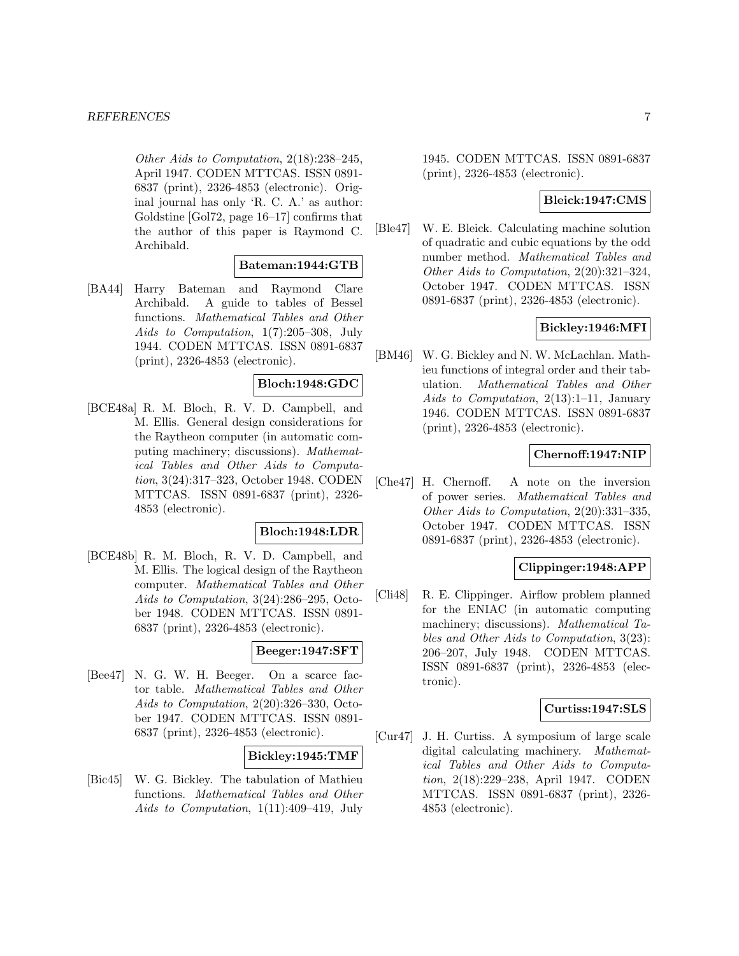Other Aids to Computation, 2(18):238–245, April 1947. CODEN MTTCAS. ISSN 0891- 6837 (print), 2326-4853 (electronic). Original journal has only 'R. C. A.' as author: Goldstine [Gol72, page 16–17] confirms that the author of this paper is Raymond C. Archibald.

#### **Bateman:1944:GTB**

[BA44] Harry Bateman and Raymond Clare Archibald. A guide to tables of Bessel functions. Mathematical Tables and Other Aids to Computation, 1(7):205–308, July 1944. CODEN MTTCAS. ISSN 0891-6837 (print), 2326-4853 (electronic).

# **Bloch:1948:GDC**

[BCE48a] R. M. Bloch, R. V. D. Campbell, and M. Ellis. General design considerations for the Raytheon computer (in automatic computing machinery; discussions). Mathematical Tables and Other Aids to Computation, 3(24):317–323, October 1948. CODEN MTTCAS. ISSN 0891-6837 (print), 2326- 4853 (electronic).

# **Bloch:1948:LDR**

[BCE48b] R. M. Bloch, R. V. D. Campbell, and M. Ellis. The logical design of the Raytheon computer. Mathematical Tables and Other Aids to Computation, 3(24):286–295, October 1948. CODEN MTTCAS. ISSN 0891- 6837 (print), 2326-4853 (electronic).

# **Beeger:1947:SFT**

[Bee47] N. G. W. H. Beeger. On a scarce factor table. Mathematical Tables and Other Aids to Computation, 2(20):326–330, October 1947. CODEN MTTCAS. ISSN 0891- 6837 (print), 2326-4853 (electronic).

# **Bickley:1945:TMF**

[Bic45] W. G. Bickley. The tabulation of Mathieu functions. Mathematical Tables and Other Aids to Computation, 1(11):409–419, July

1945. CODEN MTTCAS. ISSN 0891-6837 (print), 2326-4853 (electronic).

# **Bleick:1947:CMS**

[Ble47] W. E. Bleick. Calculating machine solution of quadratic and cubic equations by the odd number method. Mathematical Tables and Other Aids to Computation, 2(20):321–324, October 1947. CODEN MTTCAS. ISSN 0891-6837 (print), 2326-4853 (electronic).

# **Bickley:1946:MFI**

[BM46] W. G. Bickley and N. W. McLachlan. Mathieu functions of integral order and their tabulation. Mathematical Tables and Other Aids to Computation, 2(13):1–11, January 1946. CODEN MTTCAS. ISSN 0891-6837 (print), 2326-4853 (electronic).

# **Chernoff:1947:NIP**

[Che47] H. Chernoff. A note on the inversion of power series. Mathematical Tables and Other Aids to Computation, 2(20):331–335, October 1947. CODEN MTTCAS. ISSN 0891-6837 (print), 2326-4853 (electronic).

# **Clippinger:1948:APP**

[Cli48] R. E. Clippinger. Airflow problem planned for the ENIAC (in automatic computing machinery; discussions). Mathematical Tables and Other Aids to Computation, 3(23): 206–207, July 1948. CODEN MTTCAS. ISSN 0891-6837 (print), 2326-4853 (electronic).

# **Curtiss:1947:SLS**

[Cur47] J. H. Curtiss. A symposium of large scale digital calculating machinery. Mathematical Tables and Other Aids to Computation, 2(18):229–238, April 1947. CODEN MTTCAS. ISSN 0891-6837 (print), 2326- 4853 (electronic).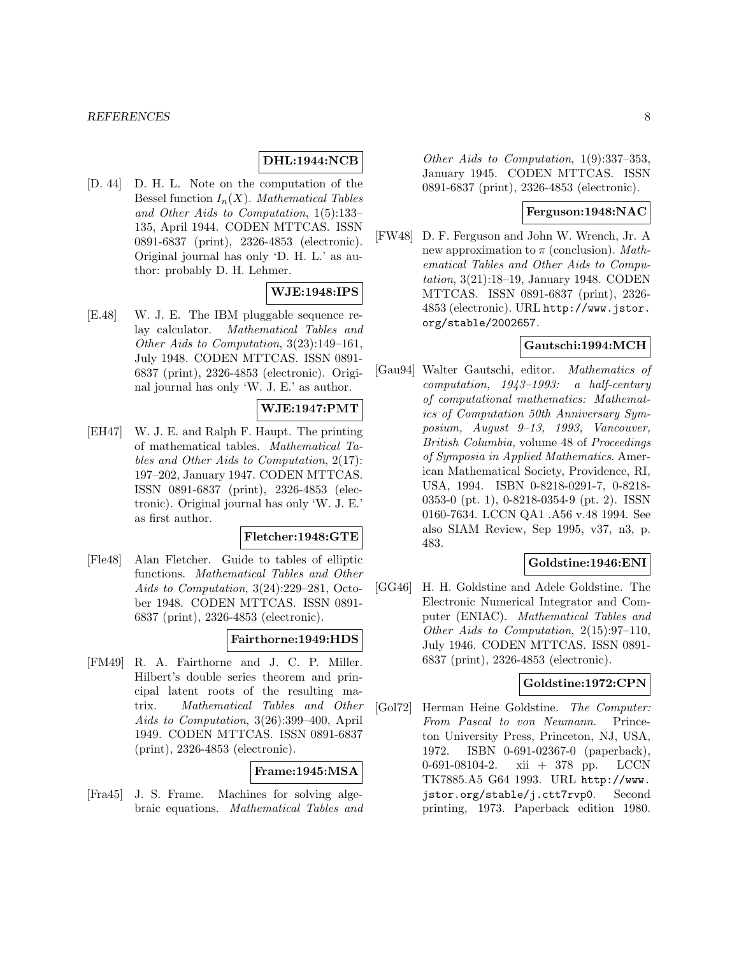# **DHL:1944:NCB**

[D. 44] D. H. L. Note on the computation of the Bessel function  $I_n(X)$ . Mathematical Tables and Other Aids to Computation, 1(5):133– 135, April 1944. CODEN MTTCAS. ISSN 0891-6837 (print), 2326-4853 (electronic). Original journal has only 'D. H. L.' as author: probably D. H. Lehmer.

# **WJE:1948:IPS**

[E.48] W. J. E. The IBM pluggable sequence relay calculator. Mathematical Tables and Other Aids to Computation, 3(23):149–161, July 1948. CODEN MTTCAS. ISSN 0891- 6837 (print), 2326-4853 (electronic). Original journal has only 'W. J. E.' as author.

# **WJE:1947:PMT**

[EH47] W. J. E. and Ralph F. Haupt. The printing of mathematical tables. Mathematical Tables and Other Aids to Computation, 2(17): 197–202, January 1947. CODEN MTTCAS. ISSN 0891-6837 (print), 2326-4853 (electronic). Original journal has only 'W. J. E.' as first author.

#### **Fletcher:1948:GTE**

[Fle48] Alan Fletcher. Guide to tables of elliptic functions. Mathematical Tables and Other Aids to Computation, 3(24):229–281, October 1948. CODEN MTTCAS. ISSN 0891- 6837 (print), 2326-4853 (electronic).

# **Fairthorne:1949:HDS**

[FM49] R. A. Fairthorne and J. C. P. Miller. Hilbert's double series theorem and principal latent roots of the resulting matrix. Mathematical Tables and Other Aids to Computation, 3(26):399–400, April 1949. CODEN MTTCAS. ISSN 0891-6837 (print), 2326-4853 (electronic).

#### **Frame:1945:MSA**

[Fra45] J. S. Frame. Machines for solving algebraic equations. Mathematical Tables and

Other Aids to Computation, 1(9):337–353, January 1945. CODEN MTTCAS. ISSN 0891-6837 (print), 2326-4853 (electronic).

### **Ferguson:1948:NAC**

[FW48] D. F. Ferguson and John W. Wrench, Jr. A new approximation to  $\pi$  (conclusion). Mathematical Tables and Other Aids to Computation, 3(21):18–19, January 1948. CODEN MTTCAS. ISSN 0891-6837 (print), 2326- 4853 (electronic). URL http://www.jstor. org/stable/2002657.

# **Gautschi:1994:MCH**

[Gau94] Walter Gautschi, editor. Mathematics of computation, 1943–1993: a half-century of computational mathematics: Mathematics of Computation 50th Anniversary Symposium, August 9–13, 1993, Vancouver, British Columbia, volume 48 of Proceedings of Symposia in Applied Mathematics. American Mathematical Society, Providence, RI, USA, 1994. ISBN 0-8218-0291-7, 0-8218- 0353-0 (pt. 1), 0-8218-0354-9 (pt. 2). ISSN 0160-7634. LCCN QA1 .A56 v.48 1994. See also SIAM Review, Sep 1995, v37, n3, p. 483.

# **Goldstine:1946:ENI**

[GG46] H. H. Goldstine and Adele Goldstine. The Electronic Numerical Integrator and Computer (ENIAC). Mathematical Tables and Other Aids to Computation, 2(15):97–110, July 1946. CODEN MTTCAS. ISSN 0891- 6837 (print), 2326-4853 (electronic).

# **Goldstine:1972:CPN**

[Gol72] Herman Heine Goldstine. The Computer: From Pascal to von Neumann. Princeton University Press, Princeton, NJ, USA, 1972. ISBN 0-691-02367-0 (paperback), 0-691-08104-2. xii + 378 pp. LCCN TK7885.A5 G64 1993. URL http://www. jstor.org/stable/j.ctt7rvp0. Second printing, 1973. Paperback edition 1980.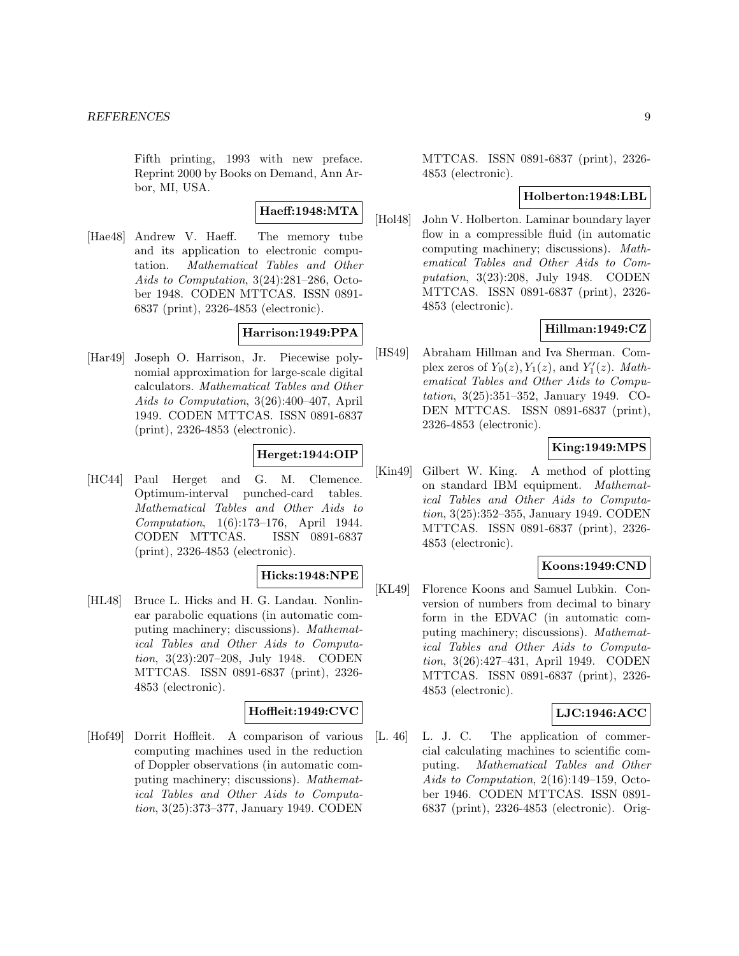Fifth printing, 1993 with new preface. Reprint 2000 by Books on Demand, Ann Arbor, MI, USA.

# **Haeff:1948:MTA**

[Hae48] Andrew V. Haeff. The memory tube and its application to electronic computation. Mathematical Tables and Other Aids to Computation, 3(24):281–286, October 1948. CODEN MTTCAS. ISSN 0891- 6837 (print), 2326-4853 (electronic).

# **Harrison:1949:PPA**

[Har49] Joseph O. Harrison, Jr. Piecewise polynomial approximation for large-scale digital calculators. Mathematical Tables and Other Aids to Computation, 3(26):400–407, April 1949. CODEN MTTCAS. ISSN 0891-6837 (print), 2326-4853 (electronic).

# **Herget:1944:OIP**

[HC44] Paul Herget and G. M. Clemence. Optimum-interval punched-card tables. Mathematical Tables and Other Aids to Computation, 1(6):173–176, April 1944. CODEN MTTCAS. ISSN 0891-6837 (print), 2326-4853 (electronic).

# **Hicks:1948:NPE**

[HL48] Bruce L. Hicks and H. G. Landau. Nonlinear parabolic equations (in automatic computing machinery; discussions). Mathematical Tables and Other Aids to Computation, 3(23):207–208, July 1948. CODEN MTTCAS. ISSN 0891-6837 (print), 2326- 4853 (electronic).

# **Hoffleit:1949:CVC**

[Hof49] Dorrit Hoffleit. A comparison of various computing machines used in the reduction of Doppler observations (in automatic computing machinery; discussions). Mathematical Tables and Other Aids to Computation, 3(25):373–377, January 1949. CODEN

MTTCAS. ISSN 0891-6837 (print), 2326- 4853 (electronic).

### **Holberton:1948:LBL**

[Hol48] John V. Holberton. Laminar boundary layer flow in a compressible fluid (in automatic computing machinery; discussions). Mathematical Tables and Other Aids to Computation, 3(23):208, July 1948. CODEN MTTCAS. ISSN 0891-6837 (print), 2326- 4853 (electronic).

# **Hillman:1949:CZ**

[HS49] Abraham Hillman and Iva Sherman. Complex zeros of  $Y_0(z)$ ,  $Y_1(z)$ , and  $Y'_1(z)$ . Mathematical Tables and Other Aids to Computation, 3(25):351–352, January 1949. CO-DEN MTTCAS. ISSN 0891-6837 (print), 2326-4853 (electronic).

# **King:1949:MPS**

[Kin49] Gilbert W. King. A method of plotting on standard IBM equipment. Mathematical Tables and Other Aids to Computation, 3(25):352–355, January 1949. CODEN MTTCAS. ISSN 0891-6837 (print), 2326- 4853 (electronic).

# **Koons:1949:CND**

[KL49] Florence Koons and Samuel Lubkin. Conversion of numbers from decimal to binary form in the EDVAC (in automatic computing machinery; discussions). Mathematical Tables and Other Aids to Computation, 3(26):427–431, April 1949. CODEN MTTCAS. ISSN 0891-6837 (print), 2326- 4853 (electronic).

# **LJC:1946:ACC**

[L. 46] L. J. C. The application of commercial calculating machines to scientific computing. Mathematical Tables and Other Aids to Computation, 2(16):149–159, October 1946. CODEN MTTCAS. ISSN 0891- 6837 (print), 2326-4853 (electronic). Orig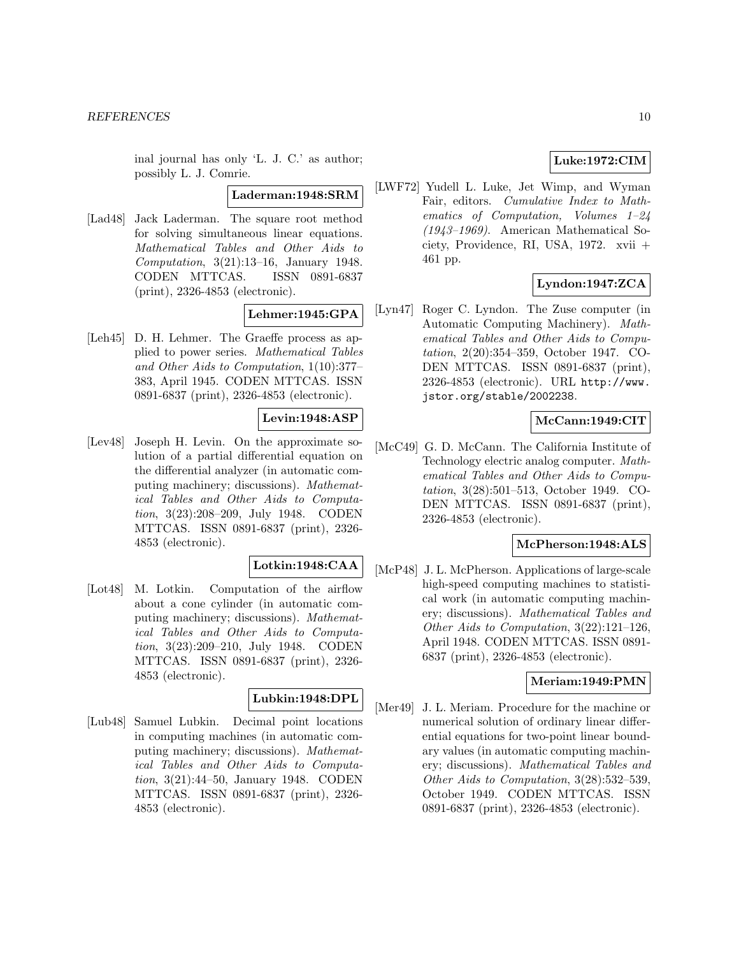inal journal has only 'L. J. C.' as author; possibly L. J. Comrie.

#### **Laderman:1948:SRM**

[Lad48] Jack Laderman. The square root method for solving simultaneous linear equations. Mathematical Tables and Other Aids to Computation, 3(21):13–16, January 1948. CODEN MTTCAS. ISSN 0891-6837 (print), 2326-4853 (electronic).

#### **Lehmer:1945:GPA**

[Leh45] D. H. Lehmer. The Graeffe process as applied to power series. Mathematical Tables and Other Aids to Computation, 1(10):377– 383, April 1945. CODEN MTTCAS. ISSN 0891-6837 (print), 2326-4853 (electronic).

# **Levin:1948:ASP**

[Lev48] Joseph H. Levin. On the approximate solution of a partial differential equation on the differential analyzer (in automatic computing machinery; discussions). Mathematical Tables and Other Aids to Computation, 3(23):208–209, July 1948. CODEN MTTCAS. ISSN 0891-6837 (print), 2326- 4853 (electronic).

# **Lotkin:1948:CAA**

[Lot48] M. Lotkin. Computation of the airflow about a cone cylinder (in automatic computing machinery; discussions). Mathematical Tables and Other Aids to Computation, 3(23):209–210, July 1948. CODEN MTTCAS. ISSN 0891-6837 (print), 2326- 4853 (electronic).

# **Lubkin:1948:DPL**

[Lub48] Samuel Lubkin. Decimal point locations in computing machines (in automatic computing machinery; discussions). Mathematical Tables and Other Aids to Computation, 3(21):44–50, January 1948. CODEN MTTCAS. ISSN 0891-6837 (print), 2326- 4853 (electronic).

# **Luke:1972:CIM**

[LWF72] Yudell L. Luke, Jet Wimp, and Wyman Fair, editors. Cumulative Index to Mathematics of Computation, Volumes 1–24 (1943–1969). American Mathematical Society, Providence, RI, USA, 1972. xvii + 461 pp.

# **Lyndon:1947:ZCA**

[Lyn47] Roger C. Lyndon. The Zuse computer (in Automatic Computing Machinery). Mathematical Tables and Other Aids to Computation, 2(20):354–359, October 1947. CO-DEN MTTCAS. ISSN 0891-6837 (print), 2326-4853 (electronic). URL http://www. jstor.org/stable/2002238.

# **McCann:1949:CIT**

[McC49] G. D. McCann. The California Institute of Technology electric analog computer. Mathematical Tables and Other Aids to Computation, 3(28):501–513, October 1949. CO-DEN MTTCAS. ISSN 0891-6837 (print), 2326-4853 (electronic).

# **McPherson:1948:ALS**

[McP48] J. L. McPherson. Applications of large-scale high-speed computing machines to statistical work (in automatic computing machinery; discussions). Mathematical Tables and Other Aids to Computation, 3(22):121–126, April 1948. CODEN MTTCAS. ISSN 0891- 6837 (print), 2326-4853 (electronic).

### **Meriam:1949:PMN**

[Mer49] J. L. Meriam. Procedure for the machine or numerical solution of ordinary linear differential equations for two-point linear boundary values (in automatic computing machinery; discussions). Mathematical Tables and Other Aids to Computation, 3(28):532–539, October 1949. CODEN MTTCAS. ISSN 0891-6837 (print), 2326-4853 (electronic).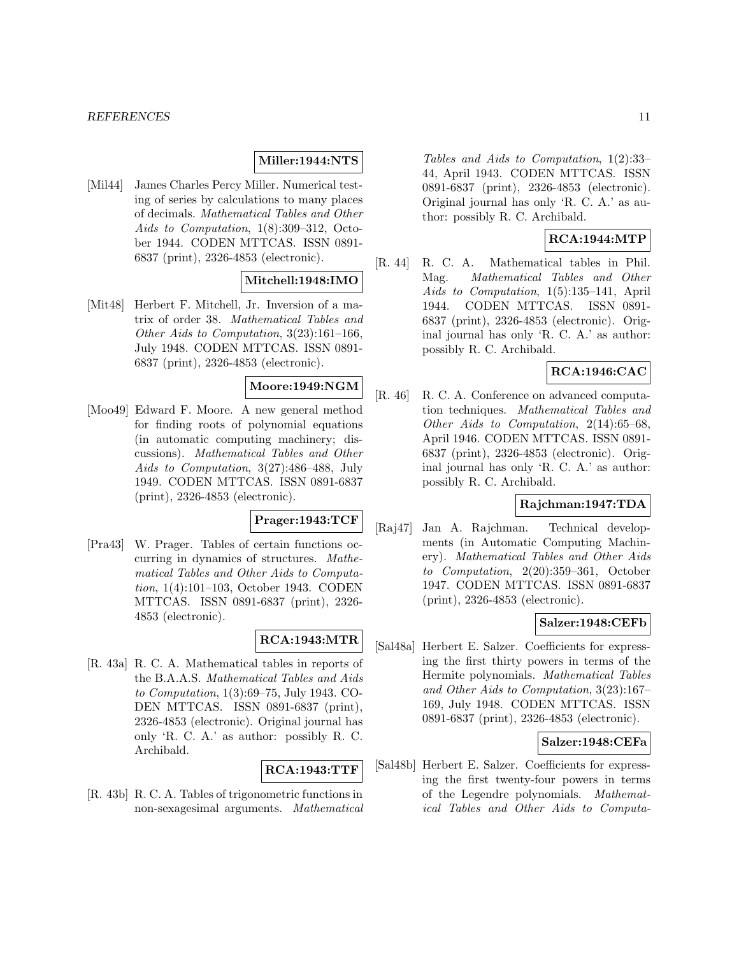# **Miller:1944:NTS**

[Mil44] James Charles Percy Miller. Numerical testing of series by calculations to many places of decimals. Mathematical Tables and Other Aids to Computation, 1(8):309–312, October 1944. CODEN MTTCAS. ISSN 0891- 6837 (print), 2326-4853 (electronic).

# **Mitchell:1948:IMO**

[Mit48] Herbert F. Mitchell, Jr. Inversion of a matrix of order 38. Mathematical Tables and Other Aids to Computation, 3(23):161–166, July 1948. CODEN MTTCAS. ISSN 0891- 6837 (print), 2326-4853 (electronic).

# **Moore:1949:NGM**

[Moo49] Edward F. Moore. A new general method for finding roots of polynomial equations (in automatic computing machinery; discussions). Mathematical Tables and Other Aids to Computation, 3(27):486–488, July 1949. CODEN MTTCAS. ISSN 0891-6837 (print), 2326-4853 (electronic).

# **Prager:1943:TCF**

[Pra43] W. Prager. Tables of certain functions occurring in dynamics of structures. Mathematical Tables and Other Aids to Computation, 1(4):101–103, October 1943. CODEN MTTCAS. ISSN 0891-6837 (print), 2326- 4853 (electronic).

### **RCA:1943:MTR**

[R. 43a] R. C. A. Mathematical tables in reports of the B.A.A.S. Mathematical Tables and Aids to Computation, 1(3):69–75, July 1943. CO-DEN MTTCAS. ISSN 0891-6837 (print), 2326-4853 (electronic). Original journal has only 'R. C. A.' as author: possibly R. C. Archibald.

#### **RCA:1943:TTF**

[R. 43b] R. C. A. Tables of trigonometric functions in non-sexagesimal arguments. Mathematical

Tables and Aids to Computation, 1(2):33– 44, April 1943. CODEN MTTCAS. ISSN 0891-6837 (print), 2326-4853 (electronic). Original journal has only 'R. C. A.' as author: possibly R. C. Archibald.

# **RCA:1944:MTP**

[R. 44] R. C. A. Mathematical tables in Phil. Mag. Mathematical Tables and Other Aids to Computation, 1(5):135–141, April 1944. CODEN MTTCAS. ISSN 0891- 6837 (print), 2326-4853 (electronic). Original journal has only 'R. C. A.' as author: possibly R. C. Archibald.

# **RCA:1946:CAC**

[R. 46] R. C. A. Conference on advanced computation techniques. Mathematical Tables and Other Aids to Computation, 2(14):65–68, April 1946. CODEN MTTCAS. ISSN 0891- 6837 (print), 2326-4853 (electronic). Original journal has only 'R. C. A.' as author: possibly R. C. Archibald.

# **Rajchman:1947:TDA**

[Raj47] Jan A. Rajchman. Technical developments (in Automatic Computing Machinery). Mathematical Tables and Other Aids to Computation, 2(20):359–361, October 1947. CODEN MTTCAS. ISSN 0891-6837 (print), 2326-4853 (electronic).

### **Salzer:1948:CEFb**

[Sal48a] Herbert E. Salzer. Coefficients for expressing the first thirty powers in terms of the Hermite polynomials. Mathematical Tables and Other Aids to Computation, 3(23):167– 169, July 1948. CODEN MTTCAS. ISSN 0891-6837 (print), 2326-4853 (electronic).

### **Salzer:1948:CEFa**

[Sal48b] Herbert E. Salzer. Coefficients for expressing the first twenty-four powers in terms of the Legendre polynomials. Mathematical Tables and Other Aids to Computa-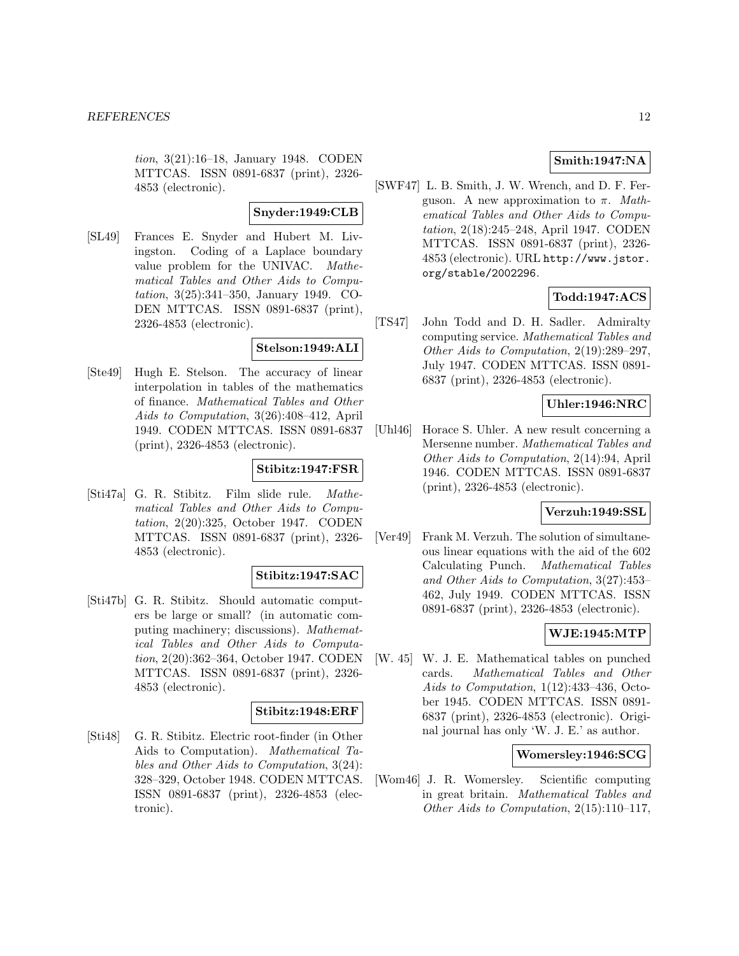tion, 3(21):16–18, January 1948. CODEN MTTCAS. ISSN 0891-6837 (print), 2326- 4853 (electronic).

# **Snyder:1949:CLB**

[SL49] Frances E. Snyder and Hubert M. Livingston. Coding of a Laplace boundary value problem for the UNIVAC. Mathematical Tables and Other Aids to Computation, 3(25):341–350, January 1949. CO-DEN MTTCAS. ISSN 0891-6837 (print), 2326-4853 (electronic).

# **Stelson:1949:ALI**

[Ste49] Hugh E. Stelson. The accuracy of linear interpolation in tables of the mathematics of finance. Mathematical Tables and Other Aids to Computation, 3(26):408–412, April 1949. CODEN MTTCAS. ISSN 0891-6837 (print), 2326-4853 (electronic).

#### **Stibitz:1947:FSR**

[Sti47a] G. R. Stibitz. Film slide rule. Mathematical Tables and Other Aids to Computation, 2(20):325, October 1947. CODEN MTTCAS. ISSN 0891-6837 (print), 2326- 4853 (electronic).

# **Stibitz:1947:SAC**

[Sti47b] G. R. Stibitz. Should automatic computers be large or small? (in automatic computing machinery; discussions). Mathematical Tables and Other Aids to Computation, 2(20):362–364, October 1947. CODEN MTTCAS. ISSN 0891-6837 (print), 2326- 4853 (electronic).

# **Stibitz:1948:ERF**

[Sti48] G. R. Stibitz. Electric root-finder (in Other Aids to Computation). Mathematical Tables and Other Aids to Computation, 3(24): 328–329, October 1948. CODEN MTTCAS. ISSN 0891-6837 (print), 2326-4853 (electronic).

# **Smith:1947:NA**

[SWF47] L. B. Smith, J. W. Wrench, and D. F. Ferguson. A new approximation to  $\pi$ . Mathematical Tables and Other Aids to Computation, 2(18):245–248, April 1947. CODEN MTTCAS. ISSN 0891-6837 (print), 2326- 4853 (electronic). URL http://www.jstor. org/stable/2002296.

# **Todd:1947:ACS**

[TS47] John Todd and D. H. Sadler. Admiralty computing service. Mathematical Tables and Other Aids to Computation, 2(19):289–297, July 1947. CODEN MTTCAS. ISSN 0891- 6837 (print), 2326-4853 (electronic).

### **Uhler:1946:NRC**

[Uhl46] Horace S. Uhler. A new result concerning a Mersenne number. Mathematical Tables and Other Aids to Computation, 2(14):94, April 1946. CODEN MTTCAS. ISSN 0891-6837 (print), 2326-4853 (electronic).

# **Verzuh:1949:SSL**

[Ver49] Frank M. Verzuh. The solution of simultaneous linear equations with the aid of the 602 Calculating Punch. Mathematical Tables and Other Aids to Computation, 3(27):453– 462, July 1949. CODEN MTTCAS. ISSN 0891-6837 (print), 2326-4853 (electronic).

# **WJE:1945:MTP**

[W. 45] W. J. E. Mathematical tables on punched cards. Mathematical Tables and Other Aids to Computation, 1(12):433-436, October 1945. CODEN MTTCAS. ISSN 0891- 6837 (print), 2326-4853 (electronic). Original journal has only 'W. J. E.' as author.

#### **Womersley:1946:SCG**

[Wom46] J. R. Womersley. Scientific computing in great britain. Mathematical Tables and Other Aids to Computation, 2(15):110–117,